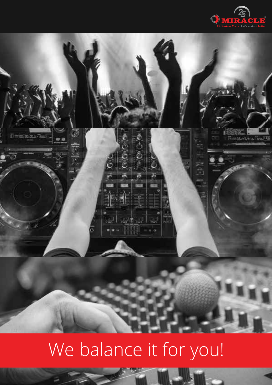



# We balance it for you!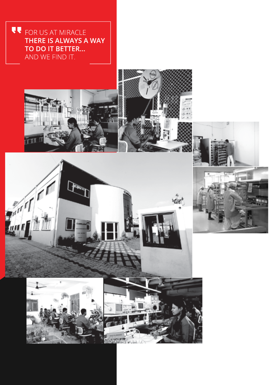CE FOR US AT MIRACLE THERE IS ALWAYS A WAY TO DO IT BETTER... AND WE FIND IT.











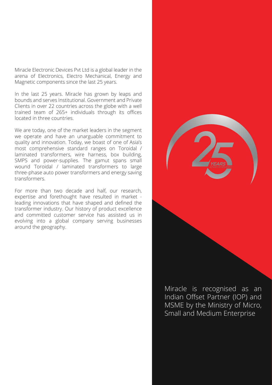Miracle Electronic Devices Pvt Ltd is a global leader in the arena of Electronics, Electro Mechanical, Energy and Magnetic components since the last 25 years.

In the last 25 years. Miracle has grown by leaps and bounds and serves Institutional. Government and Private Clients in over 22 countries across the globe with a well trained team of 265+ individuals through its offices located in three countries.

We are today, one of the market leaders in the segment we operate and have an unarguable commitment to quality and innovation. Today, we boast of one of Asia's most comprehensive standard ranges on Toroidal / laminated transformers, wire harness, box building, SMPS and power-supplies. The gamut spans small wound Toroidal / laminated transformers to large three-phase auto power transformers and energy saving transformers.

For more than two decade and half, our research, expertise and forethought have resulted in market leading innovations that have shaped and defined the transformer industry. Our history of product excellence and committed customer service has assisted us in evolving into a global company serving businesses around the geography.

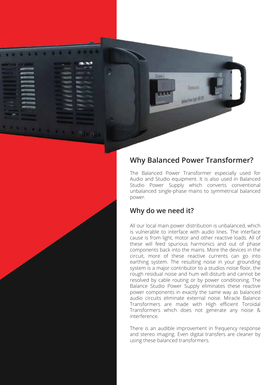

## **Why Balanced Power Transformer?**

The Balanced Power Transformer especially used for Audio and Studio equipment. It is also used in Balanced Studio Power Supply which converts conventional unbalanced single-phase mains to symmetrical balanced power.

### **Why do we need it?**

All our local main power distribution is unbalanced, which is vulnerable to interface with audio lines. The interface cause is from light, motor and other reactive loads. All of these will feed spurious harmonics and out of phase components back into the mains. More the devices in the circuit, more of these reactive currents can go into earthing system. The resulting noise in your grounding system is a major contributor to a studios noise floor, the rough residual noise and hum will disturb and cannot be resolved by cable routing or by power conditioning. The Balance Studio Power Supply eliminates these reactive power components in exactly the same way as balanced audio circuits eliminate external noise. Miracle Balance Transformers are made with High efficient Toroidal Transformers which does not generate any noise & interference.

There is an audible improvement in frequency response and stereo imaging. Even digital transfers are cleaner by using these balanced transformers.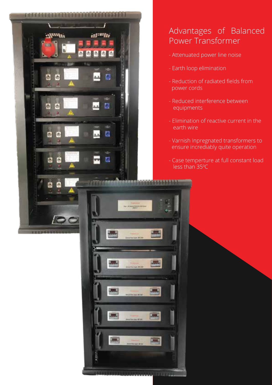

# Advantages of Balanced Power Transformer

- Attenuated power line noise
- Earth loop elimination

- Reduction of radiated fields from power cords
- Reduced interference between equipments
- Elimination of reactive current in the earth wire
- Varnish Inpregnated transformers to ensure incrediably quite operation
- Case temperture at full constant load  $\blacksquare$  less than 35 $^{\rm o}$ C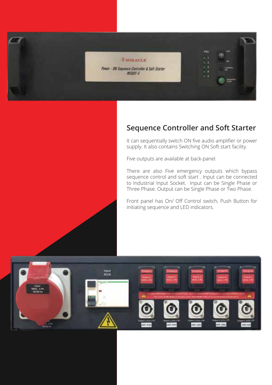

## **Sequence Controller and Soft Starter**

It can sequentially switch ON five audio amplifier or power supply. It also contains Switching ON Soft start facility.

Five outputs are available at back-panel.

There are also Five emergency outputs which bypass sequence control and soft start . Input can be connected to Industrial Input Socket. Input can be Single Phase or Three Phase. Output can be Single Phase or Two Phase.

Front panel has On/ Off Control switch, Push Button for initiating sequence and LED indicators.

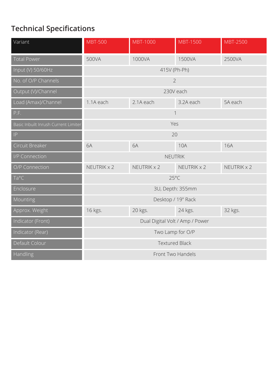# **Technical Specifications**

| Variant                              | <b>MBT-500</b>                  | <b>MBT-1000</b> | <b>MBT-1500</b> | <b>MBT-2500</b> |
|--------------------------------------|---------------------------------|-----------------|-----------------|-----------------|
| <b>Total Power</b>                   | 500VA                           | 1000VA          | 1500VA          | 2500VA          |
| Input (V) 50/60Hz                    | 415V (Ph-Ph)                    |                 |                 |                 |
| No. of O/P Channels                  | $\overline{2}$                  |                 |                 |                 |
| Output (V)/Channel                   | 230V each                       |                 |                 |                 |
| Load (Amax)/Channel                  | 1.1A each                       | 2.1A each       | 3.2A each       | 5A each         |
| P.F.                                 | $\overline{\phantom{a}}$        |                 |                 |                 |
| Basic Inbuilt Inrush Current Limiter | Yes                             |                 |                 |                 |
| IP                                   | 20                              |                 |                 |                 |
| Circuit Breaker                      | 6A                              | 6A              | <b>10A</b>      | <b>16A</b>      |
| I/P Connection                       | NEUTRIK                         |                 |                 |                 |
| O/P Connection                       | NEUTRIK x 2                     | NEUTRIK x 2     | NEUTRIK x 2     | NEUTRIK x 2     |
| Ta°C                                 | $25^{\circ}$ C                  |                 |                 |                 |
| Enclosure                            | 3U, Depth: 355mm                |                 |                 |                 |
| Mounting                             | Desktop / 19" Rack              |                 |                 |                 |
| Approx. Weight                       | 16 kgs.                         | 20 kgs.         | 24 kgs.         | 32 kgs.         |
| Indicator (Front)                    | Dual Digital Volt / Amp / Power |                 |                 |                 |
| Indicator (Rear)                     | Two Lamp for O/P                |                 |                 |                 |
| Default Colour                       | <b>Textured Black</b>           |                 |                 |                 |
| Handling                             | Front Two Handels               |                 |                 |                 |